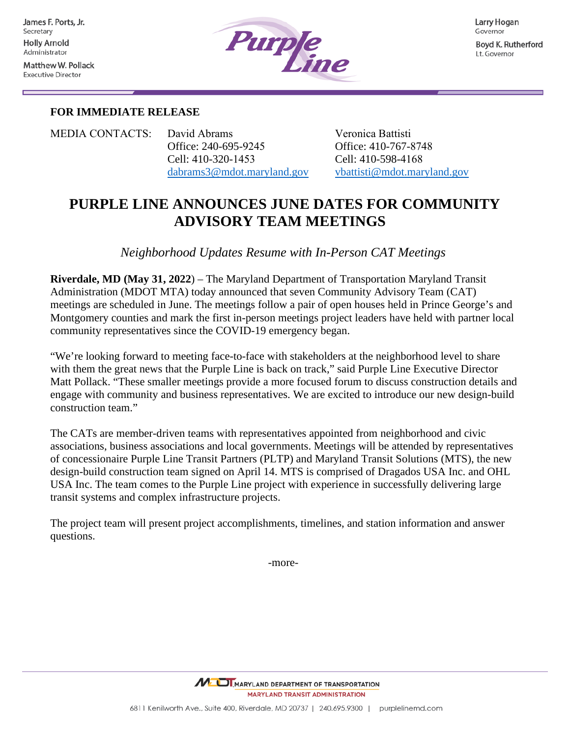Matthew W. Pollack **Executive Director** 



# **FOR IMMEDIATE RELEASE**

MEDIA CONTACTS:  David Abrams                             Veronica Battisti    Office: 240-695-9245            Office: 410-767-8748  Cell: 410-320-1453                          Cell: 410-598-4168                                         [dabrams3@mdot.maryland.gov](mailto:dabrams3@mdot.maryland.gov) [vbattisti@mdot.maryland.gov](mailto:vbattisti@mdot.maryland.gov)

# **PURPLE LINE ANNOUNCES JUNE DATES FOR COMMUNITY ADVISORY TEAM MEETINGS**

*Neighborhood Updates Resume with In-Person CAT Meetings*

**Riverdale, MD (May 31, 2022**) – The Maryland Department of Transportation Maryland Transit Administration (MDOT MTA) today announced that seven Community Advisory Team (CAT) meetings are scheduled in June. The meetings follow a pair of open houses held in Prince George's and Montgomery counties and mark the first in-person meetings project leaders have held with partner local community representatives since the COVID-19 emergency began.

"We're looking forward to meeting face-to-face with stakeholders at the neighborhood level to share with them the great news that the Purple Line is back on track," said Purple Line Executive Director Matt Pollack. "These smaller meetings provide a more focused forum to discuss construction details and engage with community and business representatives. We are excited to introduce our new design-build construction team."

The CATs are member-driven teams with representatives appointed from neighborhood and civic associations, business associations and local governments. Meetings will be attended by representatives of concessionaire Purple Line Transit Partners (PLTP) and Maryland Transit Solutions (MTS), the new design-build construction team signed on April 14. MTS is comprised of Dragados USA Inc. and OHL USA Inc. The team comes to the Purple Line project with experience in successfully delivering large transit systems and complex infrastructure projects.

The project team will present project accomplishments, timelines, and station information and answer questions.

-more-